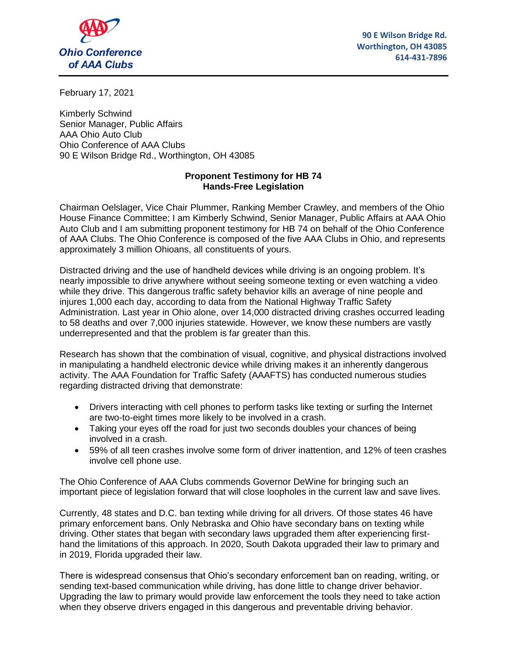

**90 E Wilson Bridge Rd. Worthington, OH 43085 614-431-7896**

February 17, 2021

Kimberly Schwind Senior Manager, Public Affairs AAA Ohio Auto Club Ohio Conference of AAA Clubs 90 E Wilson Bridge Rd., Worthington, OH 43085

## **Proponent Testimony for HB 74 Hands-Free Legislation**

Chairman Oelslager, Vice Chair Plummer, Ranking Member Crawley, and members of the Ohio House Finance Committee; I am Kimberly Schwind, Senior Manager, Public Affairs at AAA Ohio Auto Club and I am submitting proponent testimony for HB 74 on behalf of the Ohio Conference of AAA Clubs. The Ohio Conference is composed of the five AAA Clubs in Ohio, and represents approximately 3 million Ohioans, all constituents of yours.

Distracted driving and the use of handheld devices while driving is an ongoing problem. It's nearly impossible to drive anywhere without seeing someone texting or even watching a video while they drive. This dangerous traffic safety behavior kills an average of nine people and injures 1,000 each day, according to data from the National Highway Traffic Safety Administration. Last year in Ohio alone, over 14,000 distracted driving crashes occurred leading to 58 deaths and over 7,000 injuries statewide. However, we know these numbers are vastly underrepresented and that the problem is far greater than this.

Research has shown that the combination of visual, cognitive, and physical distractions involved in manipulating a handheld electronic device while driving makes it an inherently dangerous activity. The AAA Foundation for Traffic Safety (AAAFTS) has conducted numerous studies regarding distracted driving that demonstrate:

- Drivers interacting with cell phones to perform tasks like texting or surfing the Internet are two-to-eight times more likely to be involved in a crash.
- Taking your eyes off the road for just two seconds doubles your chances of being involved in a crash.
- 59% of all teen crashes involve some form of driver inattention, and 12% of teen crashes involve cell phone use.

The Ohio Conference of AAA Clubs commends Governor DeWine for bringing such an important piece of legislation forward that will close loopholes in the current law and save lives.

Currently, 48 states and D.C. ban texting while driving for all drivers. Of those states 46 have primary enforcement bans. Only Nebraska and Ohio have secondary bans on texting while driving. Other states that began with secondary laws upgraded them after experiencing firsthand the limitations of this approach. In 2020, South Dakota upgraded their law to primary and in 2019, Florida upgraded their law.

There is widespread consensus that Ohio's secondary enforcement ban on reading, writing, or sending text-based communication while driving, has done little to change driver behavior. Upgrading the law to primary would provide law enforcement the tools they need to take action when they observe drivers engaged in this dangerous and preventable driving behavior.